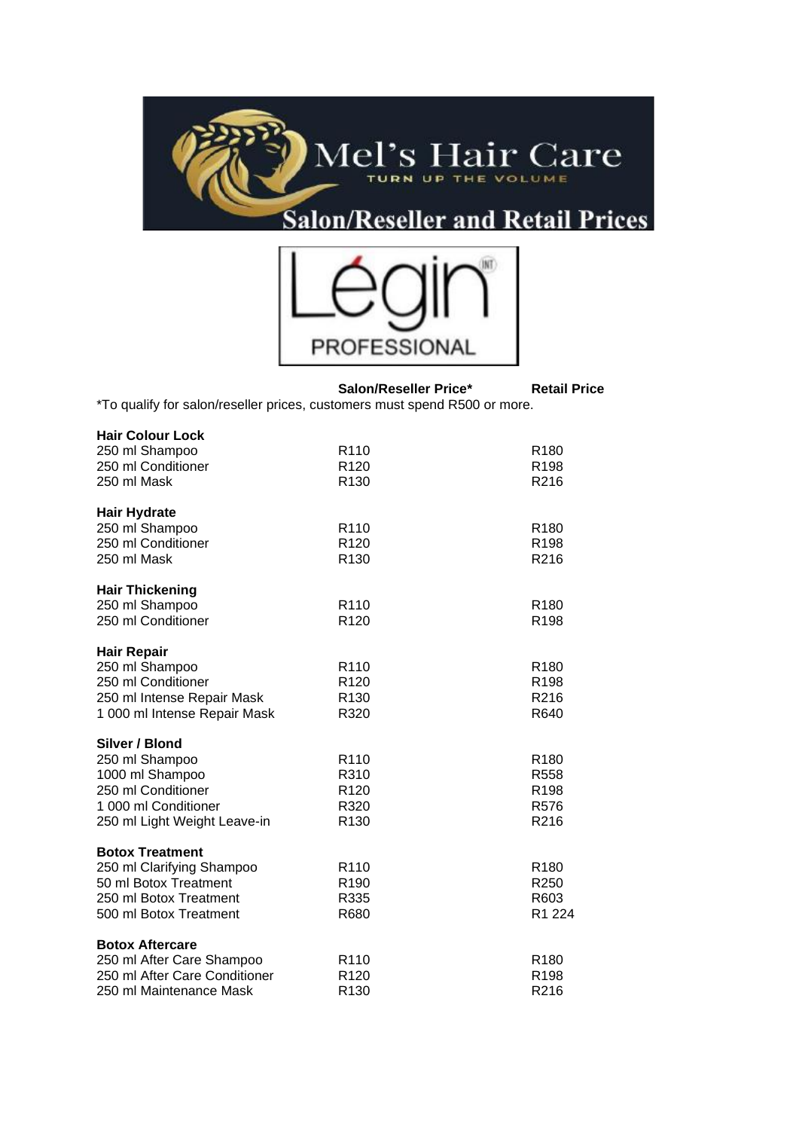



**Salon/Reseller Price\* Retail Price** \*To qualify for salon/reseller prices, customers must spend R500 or more.

| <b>Hair Colour Lock</b>       |                  |                  |
|-------------------------------|------------------|------------------|
| 250 ml Shampoo                | R <sub>110</sub> | R <sub>180</sub> |
| 250 ml Conditioner            | R <sub>120</sub> | R <sub>198</sub> |
| 250 ml Mask                   | R <sub>130</sub> | R216             |
| <b>Hair Hydrate</b>           |                  |                  |
| 250 ml Shampoo                | R <sub>110</sub> | R <sub>180</sub> |
| 250 ml Conditioner            | R <sub>120</sub> | R <sub>198</sub> |
| 250 ml Mask                   | R <sub>130</sub> | R216             |
| <b>Hair Thickening</b>        |                  |                  |
| 250 ml Shampoo                | R110             | R <sub>180</sub> |
| 250 ml Conditioner            | R <sub>120</sub> | R <sub>198</sub> |
| <b>Hair Repair</b>            |                  |                  |
| 250 ml Shampoo                | R <sub>110</sub> | R <sub>180</sub> |
| 250 ml Conditioner            | R <sub>120</sub> | R <sub>198</sub> |
| 250 ml Intense Repair Mask    | R <sub>130</sub> | R216             |
| 1 000 ml Intense Repair Mask  | R320             | R640             |
| Silver / Blond                |                  |                  |
| 250 ml Shampoo                | R <sub>110</sub> | R <sub>180</sub> |
| 1000 ml Shampoo               | R310             | R <sub>558</sub> |
| 250 ml Conditioner            | R <sub>120</sub> | R <sub>198</sub> |
| 1 000 ml Conditioner          | R320             | R <sub>576</sub> |
| 250 ml Light Weight Leave-in  | R <sub>130</sub> | R216             |
| <b>Botox Treatment</b>        |                  |                  |
| 250 ml Clarifying Shampoo     | R <sub>110</sub> | R <sub>180</sub> |
| 50 ml Botox Treatment         | R <sub>190</sub> | R <sub>250</sub> |
| 250 ml Botox Treatment        | R335             | R603             |
| 500 ml Botox Treatment        | R680             | R1 224           |
| <b>Botox Aftercare</b>        |                  |                  |
| 250 ml After Care Shampoo     | R <sub>110</sub> | R <sub>180</sub> |
| 250 ml After Care Conditioner | R <sub>120</sub> | R <sub>198</sub> |
| 250 ml Maintenance Mask       | R <sub>130</sub> | R216             |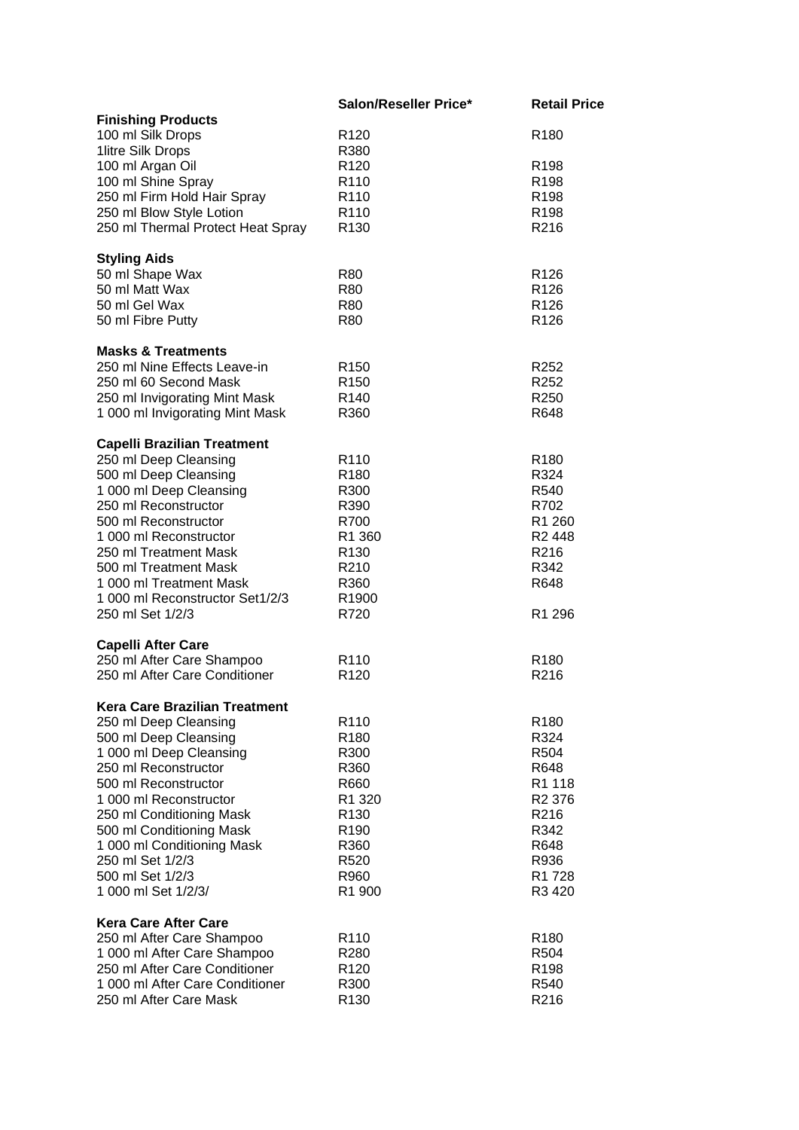|                                                               | Salon/Reseller Price* | <b>Retail Price</b> |
|---------------------------------------------------------------|-----------------------|---------------------|
| <b>Finishing Products</b>                                     |                       |                     |
| 100 ml Silk Drops                                             | R <sub>120</sub>      | R <sub>180</sub>    |
| 1litre Silk Drops                                             | R380                  |                     |
| 100 ml Argan Oil                                              | R <sub>120</sub>      | R <sub>198</sub>    |
| 100 ml Shine Spray                                            | R <sub>110</sub>      | R <sub>198</sub>    |
| 250 ml Firm Hold Hair Spray                                   | R <sub>110</sub>      | R <sub>198</sub>    |
|                                                               | R <sub>110</sub>      | R <sub>198</sub>    |
| 250 ml Blow Style Lotion                                      |                       |                     |
| 250 ml Thermal Protect Heat Spray                             | R <sub>130</sub>      | R216                |
| <b>Styling Aids</b>                                           |                       |                     |
| 50 ml Shape Wax                                               | R80                   | R <sub>126</sub>    |
| 50 ml Matt Wax                                                | <b>R80</b>            | R <sub>126</sub>    |
| 50 ml Gel Wax                                                 | <b>R80</b>            | R <sub>126</sub>    |
| 50 ml Fibre Putty                                             | <b>R80</b>            | R <sub>126</sub>    |
|                                                               |                       |                     |
| <b>Masks &amp; Treatments</b>                                 |                       |                     |
| 250 ml Nine Effects Leave-in                                  | R <sub>150</sub>      | R <sub>252</sub>    |
| 250 ml 60 Second Mask                                         | R <sub>150</sub>      | R <sub>252</sub>    |
| 250 ml Invigorating Mint Mask                                 | R <sub>140</sub>      | R <sub>250</sub>    |
| 1 000 ml Invigorating Mint Mask                               | R360                  | R648                |
| <b>Capelli Brazilian Treatment</b>                            |                       |                     |
| 250 ml Deep Cleansing                                         | R <sub>110</sub>      | R <sub>180</sub>    |
| 500 ml Deep Cleansing                                         | R <sub>180</sub>      | R324                |
| 1 000 ml Deep Cleansing                                       | R300                  | R540                |
| 250 ml Reconstructor                                          | R390                  | R702                |
| 500 ml Reconstructor                                          | R700                  | R1 260              |
|                                                               |                       |                     |
| 1 000 ml Reconstructor                                        | R <sub>1</sub> 360    | R <sub>2</sub> 448  |
| 250 ml Treatment Mask                                         | R <sub>130</sub>      | R216                |
| 500 ml Treatment Mask                                         | R210                  | R342                |
| 1 000 ml Treatment Mask                                       | R360                  | R648                |
| 1 000 ml Reconstructor Set1/2/3                               | R1900                 |                     |
| 250 ml Set 1/2/3                                              | R720                  | R1 296              |
| <b>Capelli After Care</b>                                     |                       |                     |
| 250 ml After Care Shampoo                                     | R <sub>110</sub>      | R <sub>180</sub>    |
| 250 ml After Care Conditioner                                 | R <sub>120</sub>      | R216                |
|                                                               |                       |                     |
| <b>Kera Care Brazilian Treatment</b><br>250 ml Deep Cleansing | R110                  | R <sub>180</sub>    |
| 500 ml Deep Cleansing                                         | R <sub>180</sub>      | R324                |
| 1 000 ml Deep Cleansing                                       | R300                  | R504                |
| 250 ml Reconstructor                                          | R360                  | R648                |
|                                                               |                       |                     |
| 500 ml Reconstructor                                          | R660                  | R1 118              |
| 1 000 ml Reconstructor                                        | R1 320                | R <sub>2</sub> 376  |
| 250 ml Conditioning Mask                                      | R <sub>130</sub>      | R216                |
| 500 ml Conditioning Mask                                      | R <sub>190</sub>      | R342                |
| 1 000 ml Conditioning Mask                                    | R360                  | R648                |
| 250 ml Set 1/2/3                                              | R <sub>520</sub>      | R936                |
| 500 ml Set 1/2/3                                              | R960                  | R1728               |
| 1 000 ml Set 1/2/3/                                           | R1 900                | R3 420              |
| <b>Kera Care After Care</b>                                   |                       |                     |
| 250 ml After Care Shampoo                                     | R <sub>110</sub>      | R <sub>180</sub>    |
| 1 000 ml After Care Shampoo                                   | R <sub>280</sub>      | R504                |
| 250 ml After Care Conditioner                                 | R <sub>120</sub>      | R <sub>198</sub>    |
|                                                               |                       |                     |
| 1 000 ml After Care Conditioner                               | R300                  | R540                |
| 250 ml After Care Mask                                        | R <sub>130</sub>      | R216                |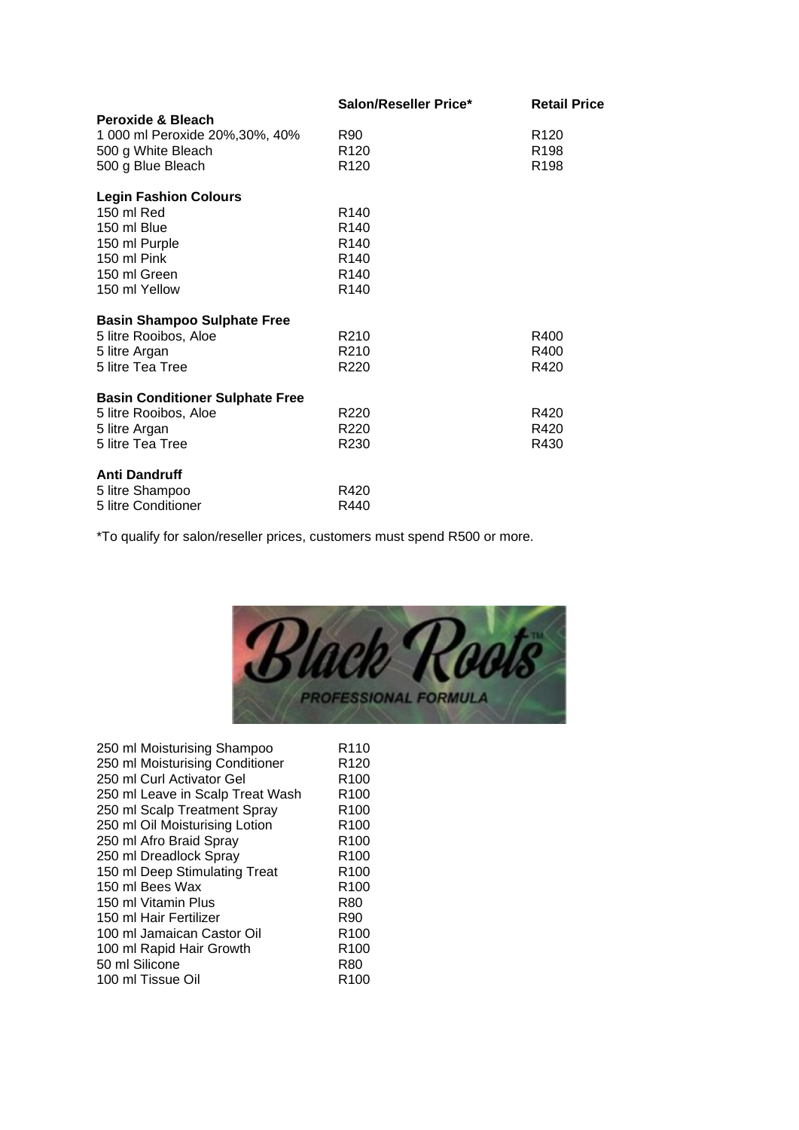|                                        | Salon/Reseller Price* | <b>Retail Price</b> |
|----------------------------------------|-----------------------|---------------------|
| Peroxide & Bleach                      |                       |                     |
| 1 000 ml Peroxide 20%, 30%, 40%        | R90                   | R <sub>120</sub>    |
| 500 g White Bleach                     | R <sub>120</sub>      | R <sub>198</sub>    |
| 500 g Blue Bleach                      | R <sub>120</sub>      | R <sub>198</sub>    |
| <b>Legin Fashion Colours</b>           |                       |                     |
| 150 ml Red                             | R <sub>140</sub>      |                     |
| 150 ml Blue                            | R <sub>140</sub>      |                     |
| 150 ml Purple                          | R <sub>140</sub>      |                     |
| 150 ml Pink                            | R <sub>140</sub>      |                     |
| 150 ml Green                           | R <sub>140</sub>      |                     |
| 150 ml Yellow                          | R <sub>140</sub>      |                     |
| <b>Basin Shampoo Sulphate Free</b>     |                       |                     |
| 5 litre Rooibos, Aloe                  | R <sub>210</sub>      | R400                |
| 5 litre Argan                          | R210                  | R400                |
| 5 litre Tea Tree                       | R <sub>220</sub>      | R420                |
| <b>Basin Conditioner Sulphate Free</b> |                       |                     |
| 5 litre Rooibos, Aloe                  | R <sub>220</sub>      | R420                |
| 5 litre Argan                          | R <sub>220</sub>      | R420                |
| 5 litre Tea Tree                       | R <sub>230</sub>      | R430                |
| <b>Anti Dandruff</b>                   |                       |                     |
| 5 litre Shampoo                        | R420                  |                     |
| 5 litre Conditioner                    | R440                  |                     |

\*To qualify for salon/reseller prices, customers must spend R500 or more.



| 250 ml Moisturising Shampoo      | R <sub>110</sub> |
|----------------------------------|------------------|
| 250 ml Moisturising Conditioner  | R <sub>120</sub> |
| 250 ml Curl Activator Gel        | R <sub>100</sub> |
| 250 ml Leave in Scalp Treat Wash | R <sub>100</sub> |
| 250 ml Scalp Treatment Spray     | R <sub>100</sub> |
| 250 ml Oil Moisturising Lotion   | R <sub>100</sub> |
| 250 ml Afro Braid Spray          | R <sub>100</sub> |
| 250 ml Dreadlock Spray           | R <sub>100</sub> |
| 150 ml Deep Stimulating Treat    | R <sub>100</sub> |
| 150 ml Bees Wax                  | R <sub>100</sub> |
| 150 ml Vitamin Plus              | R80              |
| 150 ml Hair Fertilizer           | R90              |
| 100 ml Jamaican Castor Oil       | R <sub>100</sub> |
| 100 ml Rapid Hair Growth         | R <sub>100</sub> |
| 50 ml Silicone                   | R80              |
| 100 ml Tissue Oil                | R100             |